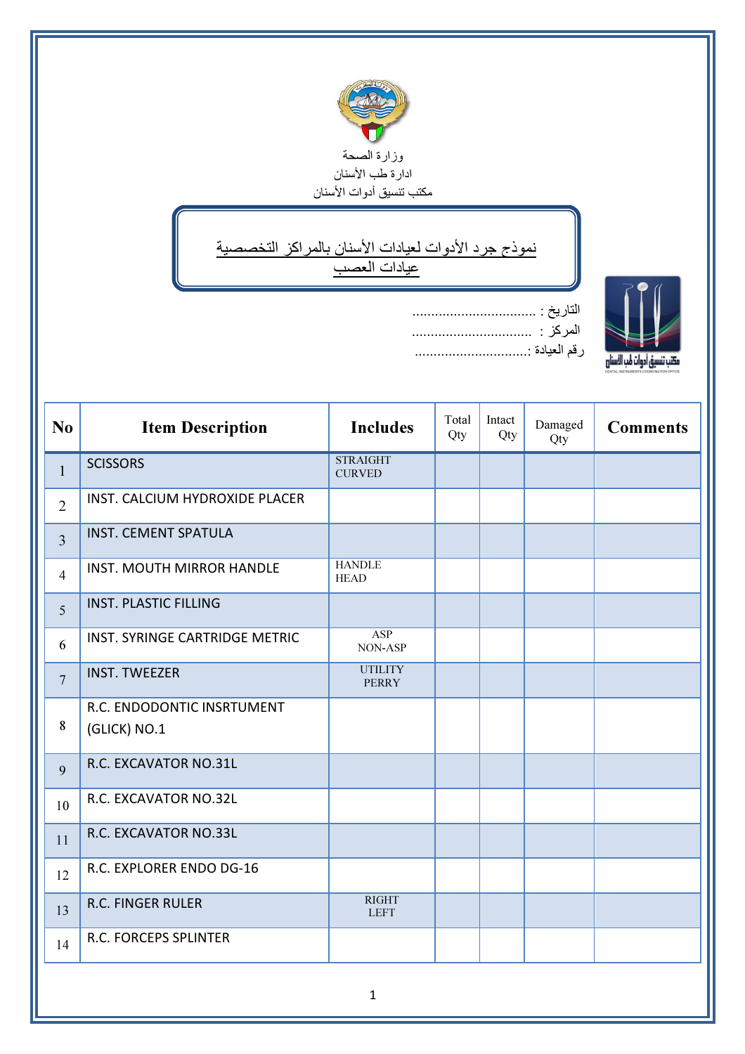

## ↘ نموذج جرد الأدوات لعيادات الأسنان بالمراكز التخصصية عيادات العصب

ī



| التاريخ :     |
|---------------|
|               |
| رقم العيادة : |

| N <sub>o</sub> | <b>Item Description</b>                    | <b>Includes</b>                  | Total<br>Qty | Intact<br>Qty | Damaged<br>Qty | <b>Comments</b> |
|----------------|--------------------------------------------|----------------------------------|--------------|---------------|----------------|-----------------|
| $\mathbf{1}$   | <b>SCISSORS</b>                            | <b>STRAIGHT</b><br><b>CURVED</b> |              |               |                |                 |
| $\overline{2}$ | INST. CALCIUM HYDROXIDE PLACER             |                                  |              |               |                |                 |
| $\overline{3}$ | <b>INST. CEMENT SPATULA</b>                |                                  |              |               |                |                 |
| $\overline{4}$ | <b>INST. MOUTH MIRROR HANDLE</b>           | <b>HANDLE</b><br><b>HEAD</b>     |              |               |                |                 |
| 5              | <b>INST. PLASTIC FILLING</b>               |                                  |              |               |                |                 |
| 6              | INST. SYRINGE CARTRIDGE METRIC             | ASP<br>NON-ASP                   |              |               |                |                 |
| $\overline{7}$ | <b>INST. TWEEZER</b>                       | <b>UTILITY</b><br><b>PERRY</b>   |              |               |                |                 |
| 8              | R.C. ENDODONTIC INSRTUMENT<br>(GLICK) NO.1 |                                  |              |               |                |                 |
| 9              | R.C. EXCAVATOR NO.31L                      |                                  |              |               |                |                 |
| 10             | R.C. EXCAVATOR NO.32L                      |                                  |              |               |                |                 |
| 11             | R.C. EXCAVATOR NO.33L                      |                                  |              |               |                |                 |
| 12             | R.C. EXPLORER ENDO DG-16                   |                                  |              |               |                |                 |
| 13             | <b>R.C. FINGER RULER</b>                   | <b>RIGHT</b><br><b>LEFT</b>      |              |               |                |                 |
| 14             | <b>R.C. FORCEPS SPLINTER</b>               |                                  |              |               |                |                 |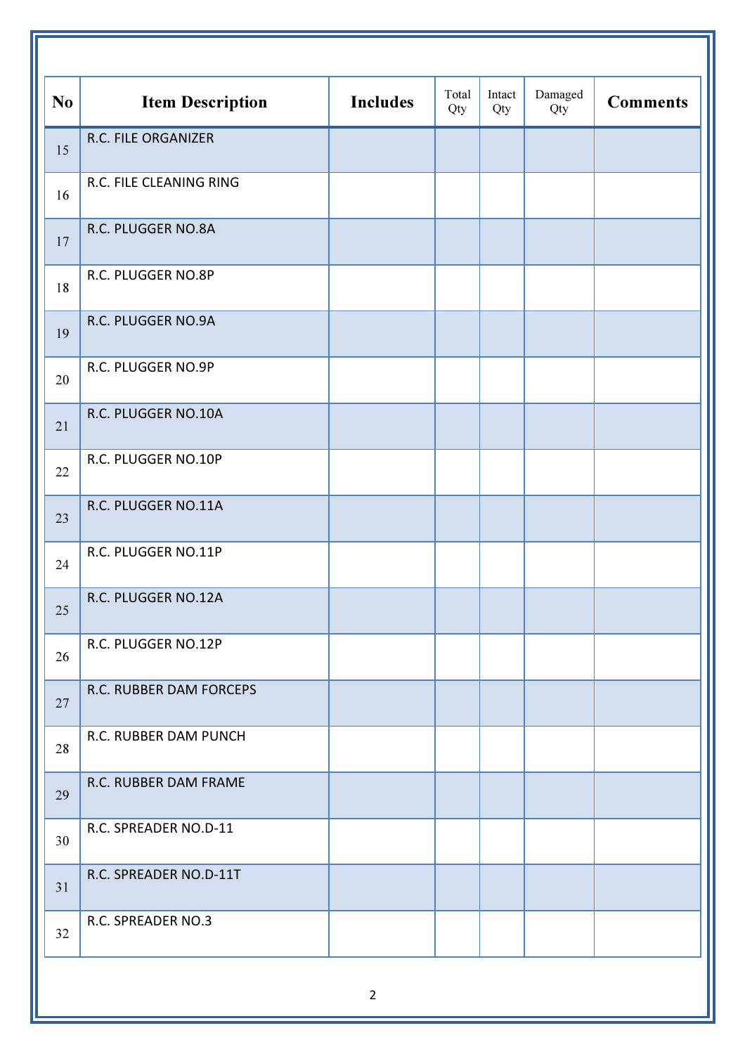| N <sub>0</sub> | <b>Item Description</b> | <b>Includes</b> | Total<br>Qty | Intact<br>Qty | Damaged<br>Qty | <b>Comments</b> |
|----------------|-------------------------|-----------------|--------------|---------------|----------------|-----------------|
| 15             | R.C. FILE ORGANIZER     |                 |              |               |                |                 |
| 16             | R.C. FILE CLEANING RING |                 |              |               |                |                 |
| 17             | R.C. PLUGGER NO.8A      |                 |              |               |                |                 |
| 18             | R.C. PLUGGER NO.8P      |                 |              |               |                |                 |
| 19             | R.C. PLUGGER NO.9A      |                 |              |               |                |                 |
| 20             | R.C. PLUGGER NO.9P      |                 |              |               |                |                 |
| 21             | R.C. PLUGGER NO.10A     |                 |              |               |                |                 |
| 22             | R.C. PLUGGER NO.10P     |                 |              |               |                |                 |
| 23             | R.C. PLUGGER NO.11A     |                 |              |               |                |                 |
| 24             | R.C. PLUGGER NO.11P     |                 |              |               |                |                 |
| 25             | R.C. PLUGGER NO.12A     |                 |              |               |                |                 |
| 26             | R.C. PLUGGER NO.12P     |                 |              |               |                |                 |
| 27             | R.C. RUBBER DAM FORCEPS |                 |              |               |                |                 |
| 28             | R.C. RUBBER DAM PUNCH   |                 |              |               |                |                 |
| 29             | R.C. RUBBER DAM FRAME   |                 |              |               |                |                 |
| 30             | R.C. SPREADER NO.D-11   |                 |              |               |                |                 |
| 31             | R.C. SPREADER NO.D-11T  |                 |              |               |                |                 |
| 32             | R.C. SPREADER NO.3      |                 |              |               |                |                 |